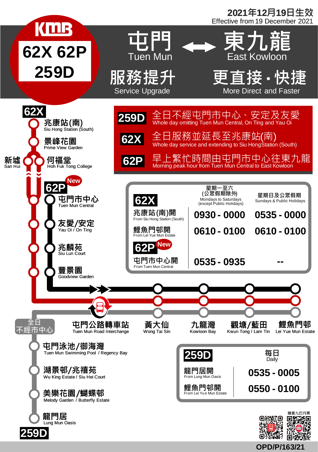

**OPD/P/163/21**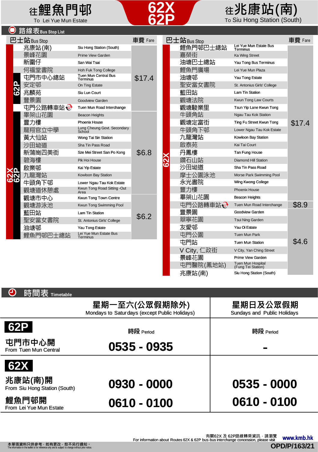## 在鯉魚門邨 (22) 年兆康站(南) To Lei Yue Mun Estate To Lei Yue Mun Estate To Lei Yue Mun Estate To Siu Hong Station (South)

| 路線表Bus Stop List    |                      |                                         |                        |            |  |                      |                                    |        |  |
|---------------------|----------------------|-----------------------------------------|------------------------|------------|--|----------------------|------------------------------------|--------|--|
| 巴士站Bus Stop         |                      |                                         | 車費 Fare<br>巴士站Bus Stop |            |  |                      | 車費 Fare                            |        |  |
| R                   | 兆康站(南)               | Siu Hong Station (South)                |                        |            |  | 鯉魚門邨巴士總站             | Lei Yue Mun Estate Bus<br>Terminus |        |  |
|                     | 景峰花園                 | Prime View Garden                       |                        |            |  | 嘉榮街                  | <b>Ka Wing Street</b>              |        |  |
|                     | 新圍仔                  | San Wai Tsai                            |                        |            |  | 油塘巴士總站               | Yau Tong Bus Terminus              |        |  |
|                     | 何福堂書院                | <b>Hoh Fuk Tong College</b>             |                        |            |  | 鯉魚門廣場                | Lei Yue Mun Plaza                  |        |  |
|                     | 屯門市中心總站              | <b>Tuen Mun Central Bus</b><br>Terminus | \$17.4                 |            |  | 油塘邨                  | Yau Tong Estate                    |        |  |
|                     | 安定邨                  | On Ting Estate                          |                        |            |  | 聖安當女書院               | St. Antonius Girls' College        |        |  |
|                     | 兆麟苑                  | Siu Lun Court                           |                        |            |  | 藍田站                  | Lam Tin Station                    |        |  |
|                     | 豐景園                  | Goodview Garden                         |                        |            |  | 觀塘法院                 | Kwun Tong Law Courts               |        |  |
|                     | 屯門公路轉車站 <del>©</del> | Tuen Mun Road Interchange               |                        |            |  | 觀塘駿業里                | Tsun Yip Lane Kwun Tong            |        |  |
| ۷n<br>$\frac{2}{2}$ | 畢架山花園                | <b>Beacon Heights</b>                   |                        |            |  | 牛頭角站                 | Ngau Tau Kok Station               |        |  |
|                     | 豐力樓                  | <b>Phoenix House</b>                    |                        | <b>XC3</b> |  | 觀塘定富街                | Ting Fu Street Kwun Tong           | \$17.4 |  |
|                     | 龍翔官立中學               | Lung Cheung Govt. Secondary<br>School   |                        |            |  | 牛頭角下邨                | Lower Ngau Tau Kok Estate          |        |  |
|                     | 黃大仙站                 | Wong Tai Sin Station                    |                        |            |  | 九龍灣站                 | Kowloon Bay Station                |        |  |
|                     | 沙田坳道                 | Sha Tin Pass Road                       |                        |            |  | 啟泰苑                  | Kai Tai Court                      |        |  |
|                     | 新蒲崗四美街               | Sze Mei Street San Po Kong              | \$6.8                  |            |  | 丹鳳樓                  | Tan Fung House                     |        |  |
|                     | 碧海樓                  | Pik Hoi House                           |                        |            |  | 鑽石山站                 | <b>Diamond Hill Station</b>        |        |  |
|                     | 啟業邨                  | Kai Yip Estate                          |                        |            |  | 沙田坳道                 | Sha Tin Pass Road                  |        |  |
|                     | 九龍灣站                 | Kowloon Bay Station                     |                        |            |  | 摩士公園泳池               | Morse Park Swimming Pool           |        |  |
|                     | 牛頭角下邨                | Lower Ngau Tau Kok Estate               |                        |            |  | 永光書院                 | <b>Wing Kwong College</b>          |        |  |
|                     | 觀塘道休憩處               | Kwun Tong Road Sitting - Out<br>Area    |                        |            |  | 豐力樓                  | <b>Phoenix House</b>               |        |  |
|                     | 觀塘市中心                | Kwun Tong Town Centre                   |                        |            |  | 畢架山花園                | Beacon Heights                     |        |  |
|                     | 觀塘游泳池                | Kwun Tong Swimming Pool                 |                        |            |  | 屯門公路轉車站 <del>@</del> | Tuen Mun Road Interchange          | \$8.9  |  |
|                     | 藍田站                  | Lam Tin Station                         |                        |            |  | 豐景園                  | Goodview Garden                    |        |  |
|                     | 聖安當女書院               | St. Antonius Girls' College             | \$6.2                  |            |  | 翠寧花園                 | Tsui Ning Garden                   |        |  |
|                     | 油塘邨                  | Yau Tong Estate                         |                        |            |  | 友愛邨                  | Yau Oi Estate                      |        |  |
|                     | 鯉魚門邨巴士總站             | Lei Yue Mun Estate Bus<br>Terminus      |                        |            |  | 屯門公園                 | Tuen Mun Park                      |        |  |
|                     |                      |                                         |                        |            |  | 屯門站                  | <b>Tuen Mun Station</b>            | \$4.6  |  |
|                     |                      |                                         |                        |            |  | V Citv. 1<br>二政街     | V City, Yan Ching Street           |        |  |
|                     |                      |                                         |                        |            |  | 景峰花園                 | Prime View Garden                  |        |  |

**62X 62P**

| A<br>時間表 Timetable                       |                                                                |                                         |  |  |
|------------------------------------------|----------------------------------------------------------------|-----------------------------------------|--|--|
|                                          | 星期一至六(公眾假期除外)<br>Mondays to Saturdays (except Public Holidays) | 星期日及公眾假期<br>Sundays and Public Holidays |  |  |
| 62P                                      | 時段 Period                                                      | 時段 Period                               |  |  |
| 屯門市中心開<br>From Tuen Mun Central          | 0535 - 0935                                                    | <b>The Contract of Service</b>          |  |  |
| <b>62X</b>                               |                                                                |                                         |  |  |
| 兆康站(南)開<br>From Siu Hong Station (South) | 0930 - 0000                                                    | $0535 - 0000$                           |  |  |
| 鯉魚門邨開<br>From Lei Yue Mun Estate         | 0610 - 0100                                                    | 0610 - 0100                             |  |  |

屯門醫院(鳳地站) Tuen Mun Hospital (Fung Tei Station)

兆康站(南) Siu Hong Station (South)